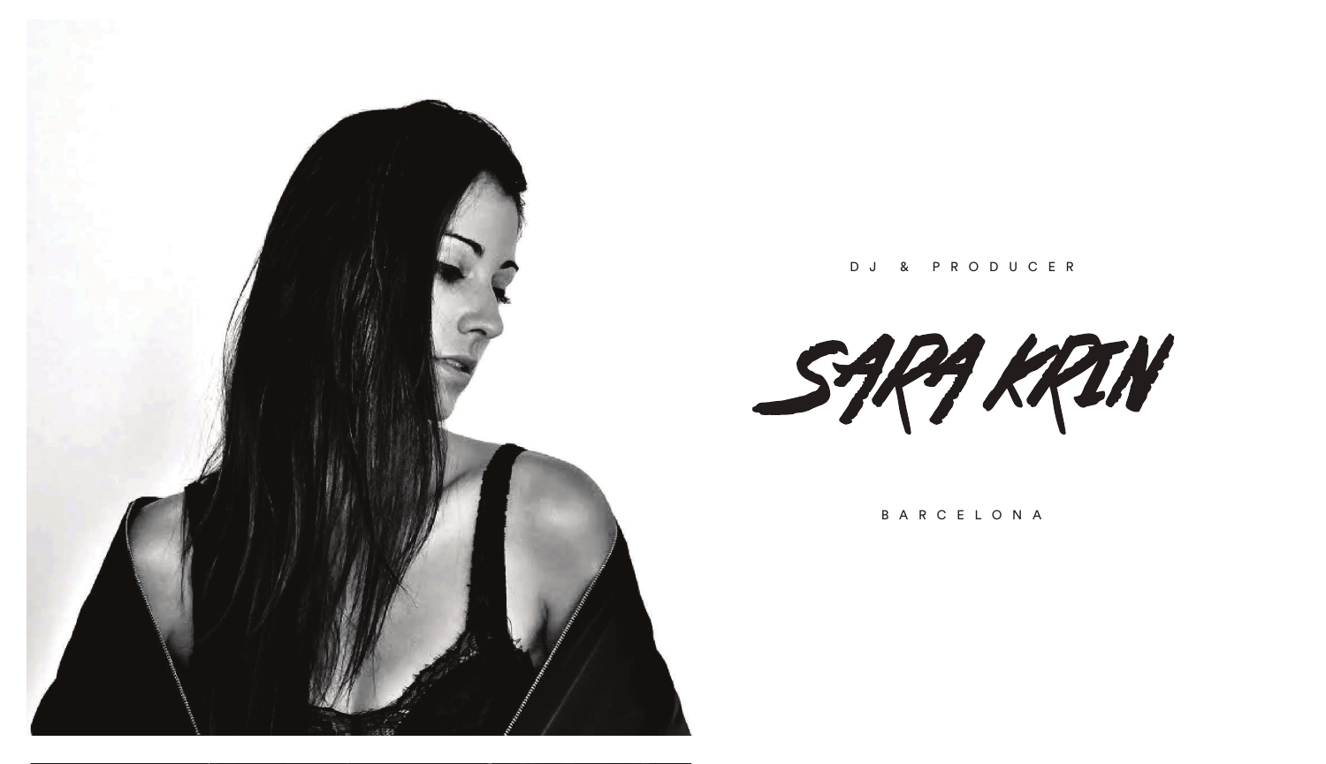

D J & P R ODU C E R

SARA KRIN

B A R C E L O N A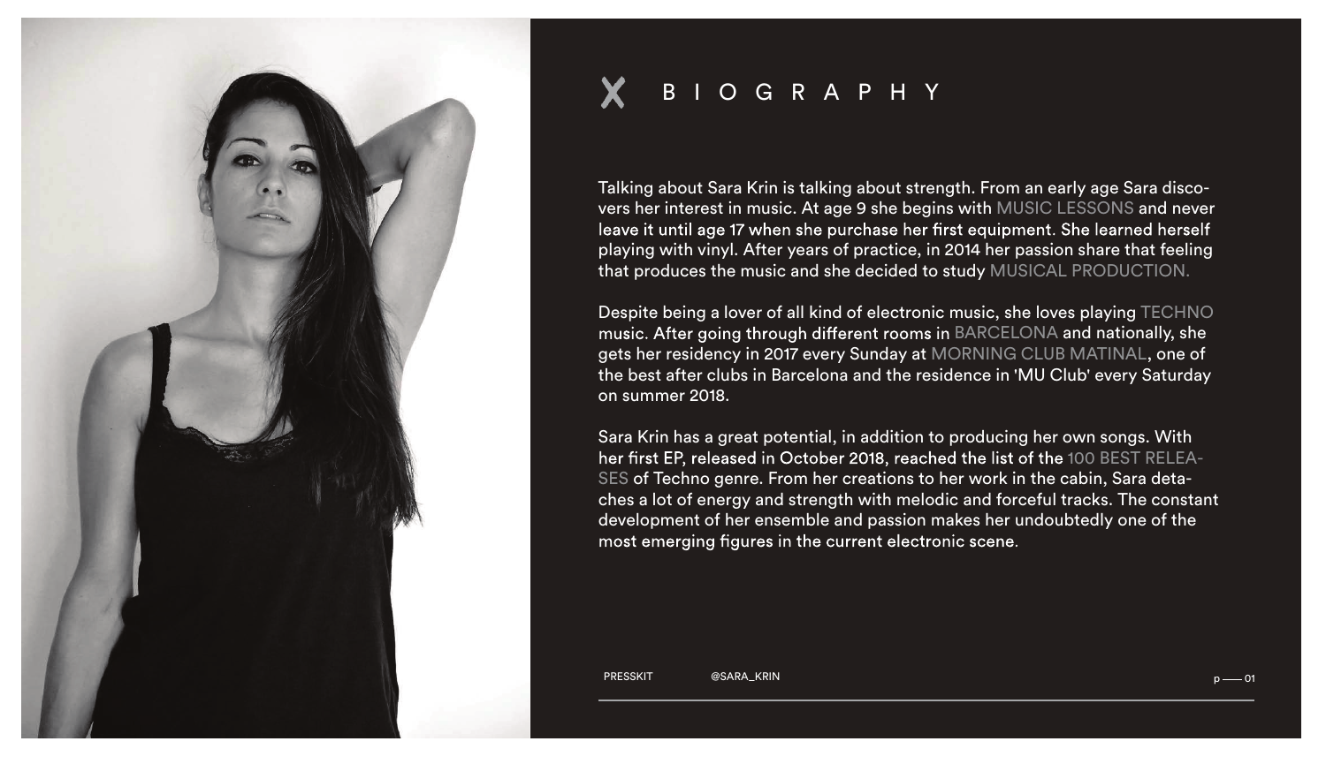

## B I O G R APH Y

Talking about Sara Krin is talking about strength. From an early age Sara discovers her interest in music. At age 9 she begins with MUSIC LESSONS and never leave it until age 17 when she purchase her first equipment. She learned herself playing with vinyl. After years of practice, in 2014 her passion share that feeling that produces the music and she decided to study MUSICAL PRODUCTION.

Despite being a lover of all kind of electronic music, she loves playing TECHNO music. After going through different rooms in BARCELONA and nationally, she gets her residency in 2017 every Sunday at MORNING CLUB MATINAL, one of the best after clubs in Barcelona and the residence in 'MU Club' every Saturday on summer 2018.

Sara Krin has a great potential, in addition to producing her own songs. With her first EP, released in October 2018, reached the list of the 100 BEST RELEA-SES of Techno genre. From her creations to her work in the cabin, Sara detaches a lot of energy and strength with melodic and forceful tracks. The constant development of her ensemble and passion makes her undoubtedly one of the most emerging figures in the current electronic scene.

PRESSKIT @SARA\_KRIN p 01